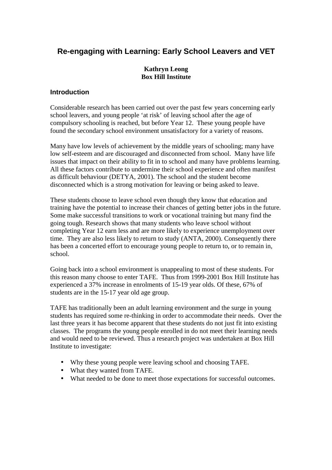# **Re-engaging with Learning: Early School Leavers and VET**

# **Kathryn Leong Box Hill Institute**

# **Introduction**

Considerable research has been carried out over the past few years concerning early school leavers, and young people 'at risk' of leaving school after the age of compulsory schooling is reached, but before Year 12. These young people have found the secondary school environment unsatisfactory for a variety of reasons.

Many have low levels of achievement by the middle years of schooling; many have low self-esteem and are discouraged and disconnected from school. Many have life issues that impact on their ability to fit in to school and many have problems learning. All these factors contribute to undermine their school experience and often manifest as difficult behaviour (DETYA, 2001). The school and the student become disconnected which is a strong motivation for leaving or being asked to leave.

These students choose to leave school even though they know that education and training have the potential to increase their chances of getting better jobs in the future. Some make successful transitions to work or vocational training but many find the going tough. Research shows that many students who leave school without completing Year 12 earn less and are more likely to experience unemployment over time. They are also less likely to return to study (ANTA, 2000). Consequently there has been a concerted effort to encourage young people to return to, or to remain in, school.

Going back into a school environment is unappealing to most of these students. For this reason many choose to enter TAFE. Thus from 1999-2001 Box Hill Institute has experienced a 37% increase in enrolments of 15-19 year olds. Of these, 67% of students are in the 15-17 year old age group.

TAFE has traditionally been an adult learning environment and the surge in young students has required some re-thinking in order to accommodate their needs. Over the last three years it has become apparent that these students do not just fit into existing classes. The programs the young people enrolled in do not meet their learning needs and would need to be reviewed. Thus a research project was undertaken at Box Hill Institute to investigate:

- Why these young people were leaving school and choosing TAFE.
- What they wanted from TAFE.
- What needed to be done to meet those expectations for successful outcomes.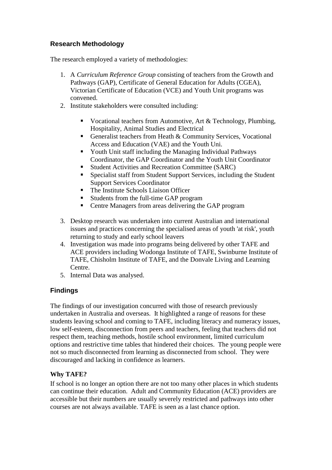# **Research Methodology**

The research employed a variety of methodologies:

- 1. A *Curriculum Reference Group* consisting of teachers from the Growth and Pathways (GAP), Certificate of General Education for Adults (CGEA), Victorian Certificate of Education (VCE) and Youth Unit programs was convened.
- 2. Institute stakeholders were consulted including:
	- Vocational teachers from Automotive, Art & Technology, Plumbing, Hospitality, Animal Studies and Electrical
	- Generalist teachers from Heath & Community Services, Vocational Access and Education (VAE) and the Youth Uni.
	- Youth Unit staff including the Managing Individual Pathways Coordinator, the GAP Coordinator and the Youth Unit Coordinator
	- Student Activities and Recreation Committee (SARC)
	- Specialist staff from Student Support Services, including the Student Support Services Coordinator
	- The Institute Schools Liaison Officer
	- Students from the full-time GAP program
	- Centre Managers from areas delivering the GAP program
- 3. Desktop research was undertaken into current Australian and international issues and practices concerning the specialised areas of youth 'at risk', youth returning to study and early school leavers
- 4. Investigation was made into programs being delivered by other TAFE and ACE providers including Wodonga Institute of TAFE, Swinburne Institute of TAFE, Chisholm Institute of TAFE, and the Donvale Living and Learning Centre.
- 5. Internal Data was analysed.

# **Findings**

The findings of our investigation concurred with those of research previously undertaken in Australia and overseas. It highlighted a range of reasons for these students leaving school and coming to TAFE, including literacy and numeracy issues, low self-esteem, disconnection from peers and teachers, feeling that teachers did not respect them, teaching methods, hostile school environment, limited curriculum options and restrictive time tables that hindered their choices. The young people were not so much disconnected from learning as disconnected from school. They were discouraged and lacking in confidence as learners.

# **Why TAFE?**

If school is no longer an option there are not too many other places in which students can continue their education. Adult and Community Education (ACE) providers are accessible but their numbers are usually severely restricted and pathways into other courses are not always available. TAFE is seen as a last chance option.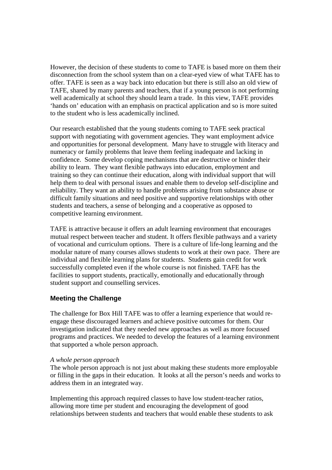However, the decision of these students to come to TAFE is based more on them their disconnection from the school system than on a clear-eyed view of what TAFE has to offer. TAFE is seen as a way back into education but there is still also an old view of TAFE, shared by many parents and teachers, that if a young person is not performing well academically at school they should learn a trade. In this view, TAFE provides 'hands on' education with an emphasis on practical application and so is more suited to the student who is less academically inclined.

Our research established that the young students coming to TAFE seek practical support with negotiating with government agencies. They want employment advice and opportunities for personal development. Many have to struggle with literacy and numeracy or family problems that leave them feeling inadequate and lacking in confidence. Some develop coping mechanisms that are destructive or hinder their ability to learn. They want flexible pathways into education, employment and training so they can continue their education, along with individual support that will help them to deal with personal issues and enable them to develop self-discipline and reliability. They want an ability to handle problems arising from substance abuse or difficult family situations and need positive and supportive relationships with other students and teachers, a sense of belonging and a cooperative as opposed to competitive learning environment.

TAFE is attractive because it offers an adult learning environment that encourages mutual respect between teacher and student. It offers flexible pathways and a variety of vocational and curriculum options. There is a culture of life-long learning and the modular nature of many courses allows students to work at their own pace. There are individual and flexible learning plans for students. Students gain credit for work successfully completed even if the whole course is not finished. TAFE has the facilities to support students, practically, emotionally and educationally through student support and counselling services.

# **Meeting the Challenge**

The challenge for Box Hill TAFE was to offer a learning experience that would reengage these discouraged learners and achieve positive outcomes for them. Our investigation indicated that they needed new approaches as well as more focussed programs and practices. We needed to develop the features of a learning environment that supported a whole person approach.

#### *A whole person approach*

The whole person approach is not just about making these students more employable or filling in the gaps in their education. It looks at all the person's needs and works to address them in an integrated way.

Implementing this approach required classes to have low student-teacher ratios, allowing more time per student and encouraging the development of good relationships between students and teachers that would enable these students to ask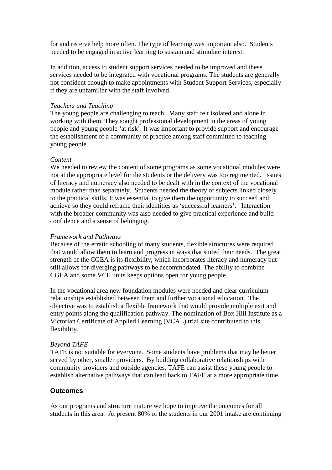for and receive help more often. The type of learning was important also. Students needed to be engaged in active learning to sustain and stimulate interest.

In addition, access to student support services needed to be improved and these services needed to be integrated with vocational programs. The students are generally not confident enough to make appointments with Student Support Services, especially if they are unfamiliar with the staff involved.

#### *Teachers and Teaching*

The young people are challenging to teach. Many staff felt isolated and alone in working with them. They sought professional development in the areas of young people and young people 'at risk'. It was important to provide support and encourage the establishment of a community of practice among staff committed to teaching young people.

# *Content*

We needed to review the content of some programs as some vocational modules were not at the appropriate level for the students or the delivery was too regimented. Issues of literacy and numeracy also needed to be dealt with in the context of the vocational module rather than separately. Students needed the theory of subjects linked closely to the practical skills. It was essential to give them the opportunity to succeed and achieve so they could reframe their identities as 'successful learners'. Interaction with the broader community was also needed to give practical experience and build confidence and a sense of belonging.

# *Framework and Pathways*

Because of the erratic schooling of many students, flexible structures were required that would allow them to learn and progress in ways that suited their needs. The great strength of the CGEA is its flexibility, which incorporates literacy and numeracy but still allows for diverging pathways to be accommodated. The ability to combine CGEA and some VCE units keeps options open for young people.

In the vocational area new foundation modules were needed and clear curriculum relationships established between them and further vocational education. The objective was to establish a flexible framework that would provide multiple exit and entry points along the qualification pathway. The nomination of Box Hill Institute as a Victorian Certificate of Applied Learning (VCAL) trial site contributed to this flexibility.

# *Beyond TAFE*

TAFE is not suitable for everyone. Some students have problems that may be better served by other, smaller providers. By building collaborative relationships with community providers and outside agencies, TAFE can assist these young people to establish alternative pathways that can lead back to TAFE at a more appropriate time.

# **Outcomes**

As our programs and structure mature we hope to improve the outcomes for all students in this area. At present 80% of the students in our 2001 intake are continuing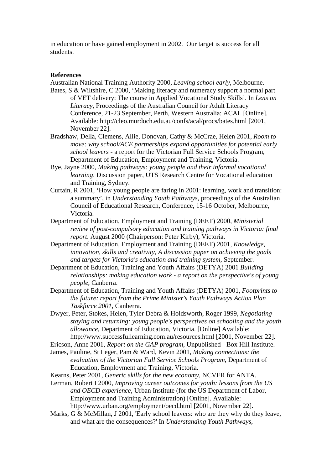in education or have gained employment in 2002. Our target is success for all students.

#### **References**

Australian National Training Authority 2000, *Leaving school early*, Melbourne.

- Bates, S & Wiltshire, C 2000, 'Making literacy and numeracy support a normal part of VET delivery: The course in Applied Vocational Study Skills'. In *Lens on Literacy*, Proceedings of the Australian Council for Adult Literacy Conference, 21-23 September, Perth, Western Australia: ACAL [Online]. Available: http://cleo.murdoch.edu.au/confs/acal/procs/bates.html [2001, November 22].
- Bradshaw, Della, Clemens, Allie, Donovan, Cathy & McCrae, Helen 2001, *Room to move: why school/ACE partnerships expand opportunities for potential early school leavers* - a report for the Victorian Full Service Schools Program, Department of Education, Employment and Training, Victoria.
- Bye, Jayne 2000, *Making pathways: young people and their informal vocational learning*. Discussion paper, UTS Research Centre for Vocational education and Training, Sydney.
- Curtain, R 2001, 'How young people are faring in 2001: learning, work and transition: a summary', in *Understanding Youth Pathways*, proceedings of the Australian Council of Educational Research, Conference, 15-16 October, Melbourne, Victoria.
- Department of Education, Employment and Training (DEET) 2000, *Ministerial review of post-compulsory education and training pathways in Victoria: final report*. August 2000 (Chairperson: Peter Kirby), Victoria.
- Department of Education, Employment and Training (DEET) 2001, *Knowledge, innovation, skills and creativity, A discussion paper on achieving the goals and targets for Victoria's education and training system*, September.
- Department of Education, Training and Youth Affairs (DETYA) 2001 *Building relationships: making education work - a report on the perspective's of young people*, Canberra.

Department of Education, Training and Youth Affairs (DETYA) 2001, *Footprints to the future: report from the Prime Minister's Youth Pathways Action Plan Taskforce 2001*, Canberra.

Dwyer, Peter, Stokes, Helen, Tyler Debra & Holdsworth, Roger 1999, *Negotiating staying and returning: young people's perspectives on schooling and the youth allowance*, Department of Education, Victoria. [Online] Available: http://www.successfullearning.com.au/resources.html [2001, November 22].

Ericson, Anne 2001, *Report on the GAP program*, Unpublished - Box Hill Institute.

- James, Pauline, St Leger, Pam & Ward, Kevin 2001, *Making connections: the evaluation of the Victorian Full Service Schools Program*, Department of Education, Employment and Training, Victoria.
- Kearns, Peter 2001, *Generic skills for the new economy,* NCVER for ANTA.

Lerman, Robert I 2000, *Improving career outcomes for youth: lessons from the US and OECD experience*, Urban Institute (for the US Department of Labor, Employment and Training Administration) [Online]. Available: http://www.urban.org/employment/oecd.html [2001, November 22].

Marks, G & McMillan, J 2001, 'Early school leavers: who are they why do they leave, and what are the consequences?' In *Understanding Youth Pathways*,